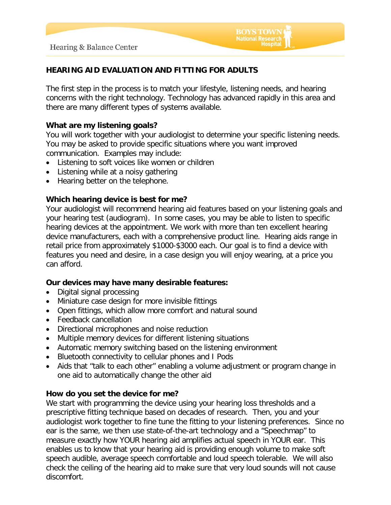# **HEARING AID EVALUATION AND FITTING FOR ADULTS**

The first step in the process is to match your lifestyle, listening needs, and hearing concerns with the right technology. Technology has advanced rapidly in this area and there are many different types of systems available.

**BOYS TOWN** National Research

## **What are my listening goals?**

You will work together with your audiologist to determine your specific listening needs. You may be asked to provide specific situations where you want improved communication. Examples may include:

- Listening to soft voices like women or children
- Listening while at a noisy gathering
- Hearing better on the telephone.

## **Which hearing device is best for me?**

Your audiologist will recommend hearing aid features based on your listening goals and your hearing test (audiogram). In some cases, you may be able to listen to specific hearing devices at the appointment. We work with more than ten excellent hearing device manufacturers, each with a comprehensive product line. Hearing aids range in retail price from approximately \$1000-\$3000 each. Our goal is to find a device with features you need and desire, in a case design you will enjoy wearing, at a price you can afford.

#### **Our devices may have many desirable features:**

- Digital signal processing
- Miniature case design for more invisible fittings
- Open fittings, which allow more comfort and natural sound
- Feedback cancellation
- Directional microphones and noise reduction
- Multiple memory devices for different listening situations
- Automatic memory switching based on the listening environment
- Bluetooth connectivity to cellular phones and I Pods
- Aids that "talk to each other" enabling a volume adjustment or program change in one aid to automatically change the other aid

#### **How do you set the device for me?**

We start with programming the device using your hearing loss thresholds and a prescriptive fitting technique based on decades of research. Then, you and your audiologist work together to fine tune the fitting to your listening preferences. Since no ear is the same, we then use state-of-the-art technology and a "Speechmap" to measure exactly how YOUR hearing aid amplifies actual speech in YOUR ear. This enables us to know that your hearing aid is providing enough volume to make soft speech audible, average speech comfortable and loud speech tolerable. We will also check the ceiling of the hearing aid to make sure that very loud sounds will not cause discomfort.